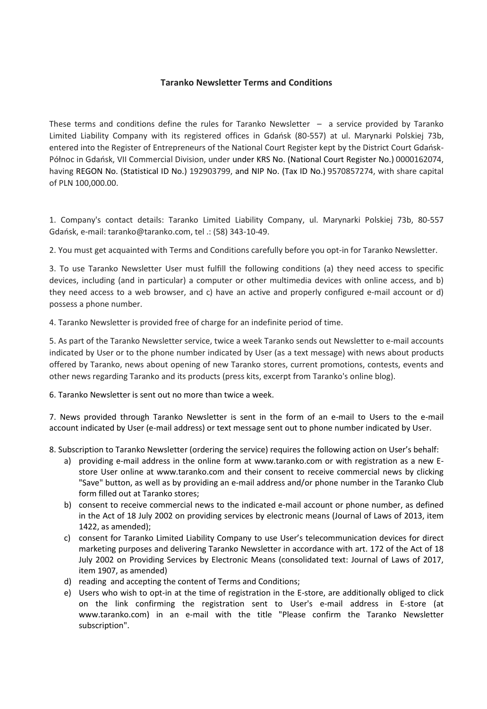## **Taranko Newsletter Terms and Conditions**

These terms and conditions define the rules for Taranko Newsletter – a service provided by Taranko Limited Liability Company with its registered offices in Gdańsk (80-557) at ul. Marynarki Polskiej 73b, entered into the Register of Entrepreneurs of the National Court Register kept by the District Court Gdańsk-Północ in Gdańsk, VII Commercial Division, under under KRS No. (National Court Register No.) 0000162074, having REGON No. (Statistical ID No.) 192903799, and NIP No. (Tax ID No.) 9570857274, with share capital of PLN 100,000.00.

1. Company's contact details: Taranko Limited Liability Company, ul. Marynarki Polskiej 73b, 80-557 Gdańsk, e-mail: taranko@taranko.com, tel .: (58) 343-10-49.

2. You must get acquainted with Terms and Conditions carefully before you opt-in for Taranko Newsletter.

3. To use Taranko Newsletter User must fulfill the following conditions (a) they need access to specific devices, including (and in particular) a computer or other multimedia devices with online access, and b) they need access to a web browser, and c) have an active and properly configured e-mail account or d) possess a phone number.

4. Taranko Newsletter is provided free of charge for an indefinite period of time.

5. As part of the Taranko Newsletter service, twice a week Taranko sends out Newsletter to e-mail accounts indicated by User or to the phone number indicated by User (as a text message) with news about products offered by Taranko, news about opening of new Taranko stores, current promotions, contests, events and other news regarding Taranko and its products (press kits, excerpt from Taranko's online blog).

6. Taranko Newsletter is sent out no more than twice a week.

7. News provided through Taranko Newsletter is sent in the form of an e-mail to Users to the e-mail account indicated by User (e-mail address) or text message sent out to phone number indicated by User.

8. Subscription to Taranko Newsletter (ordering the service) requires the following action on User's behalf:

- a) providing e-mail address in the online form at www.taranko.com or with registration as a new Estore User online at www.taranko.com and their consent to receive commercial news by clicking "Save" button, as well as by providing an e-mail address and/or phone number in the Taranko Club form filled out at Taranko stores;
- b) consent to receive commercial news to the indicated e-mail account or phone number, as defined in the Act of 18 July 2002 on providing services by electronic means (Journal of Laws of 2013, item 1422, as amended);
- c) consent for Taranko Limited Liability Company to use User's telecommunication devices for direct marketing purposes and delivering Taranko Newsletter in accordance with art. 172 of the Act of 18 July 2002 on Providing Services by Electronic Means (consolidated text: Journal of Laws of 2017, item 1907, as amended)
- d) reading and accepting the content of Terms and Conditions;
- e) Users who wish to opt-in at the time of registration in the E-store, are additionally obliged to click on the link confirming the registration sent to User's e-mail address in E-store (at www.taranko.com) in an e-mail with the title "Please confirm the Taranko Newsletter subscription".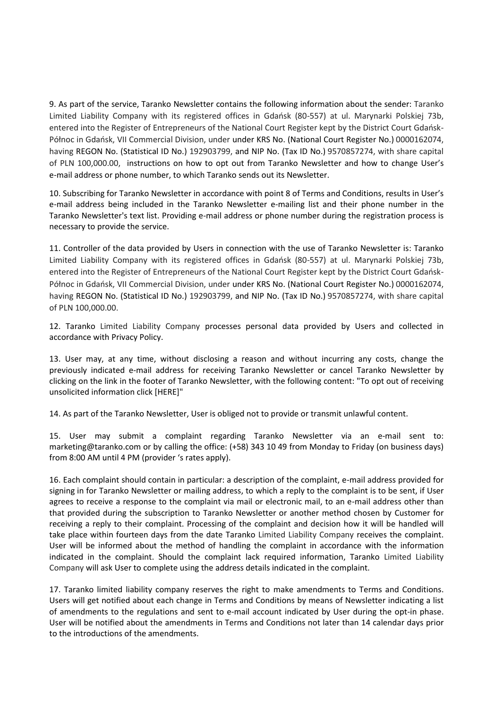9. As part of the service, Taranko Newsletter contains the following information about the sender: Taranko Limited Liability Company with its registered offices in Gdańsk (80-557) at ul. Marynarki Polskiej 73b, entered into the Register of Entrepreneurs of the National Court Register kept by the District Court Gdańsk-Północ in Gdańsk, VII Commercial Division, under under KRS No. (National Court Register No.) 0000162074, having REGON No. (Statistical ID No.) 192903799, and NIP No. (Tax ID No.) 9570857274, with share capital of PLN 100,000.00, instructions on how to opt out from Taranko Newsletter and how to change User's e-mail address or phone number, to which Taranko sends out its Newsletter.

10. Subscribing for Taranko Newsletter in accordance with point 8 of Terms and Conditions, results in User's e-mail address being included in the Taranko Newsletter e-mailing list and their phone number in the Taranko Newsletter's text list. Providing e-mail address or phone number during the registration process is necessary to provide the service.

11. Controller of the data provided by Users in connection with the use of Taranko Newsletter is: Taranko Limited Liability Company with its registered offices in Gdańsk (80-557) at ul. Marynarki Polskiej 73b, entered into the Register of Entrepreneurs of the National Court Register kept by the District Court Gdańsk-Północ in Gdańsk, VII Commercial Division, under under KRS No. (National Court Register No.) 0000162074, having REGON No. (Statistical ID No.) 192903799, and NIP No. (Tax ID No.) 9570857274, with share capital of PLN 100,000.00.

12. Taranko Limited Liability Company processes personal data provided by Users and collected in accordance with Privacy Policy.

13. User may, at any time, without disclosing a reason and without incurring any costs, change the previously indicated e-mail address for receiving Taranko Newsletter or cancel Taranko Newsletter by clicking on the link in the footer of Taranko Newsletter, with the following content: "To opt out of receiving unsolicited information click [HERE]"

14. As part of the Taranko Newsletter, User is obliged not to provide or transmit unlawful content.

15. User may submit a complaint regarding Taranko Newsletter via an e-mail sent to: marketing@taranko.com or by calling the office: (+58) 343 10 49 from Monday to Friday (on business days) from 8:00 AM until 4 PM (provider 's rates apply).

16. Each complaint should contain in particular: a description of the complaint, e-mail address provided for signing in for Taranko Newsletter or mailing address, to which a reply to the complaint is to be sent, if User agrees to receive a response to the complaint via mail or electronic mail, to an e-mail address other than that provided during the subscription to Taranko Newsletter or another method chosen by Customer for receiving a reply to their complaint. Processing of the complaint and decision how it will be handled will take place within fourteen days from the date Taranko Limited Liability Company receives the complaint. User will be informed about the method of handling the complaint in accordance with the information indicated in the complaint. Should the complaint lack required information, Taranko Limited Liability Company will ask User to complete using the address details indicated in the complaint.

17. Taranko limited liability company reserves the right to make amendments to Terms and Conditions. Users will get notified about each change in Terms and Conditions by means of Newsletter indicating a list of amendments to the regulations and sent to e-mail account indicated by User during the opt-in phase. User will be notified about the amendments in Terms and Conditions not later than 14 calendar days prior to the introductions of the amendments.